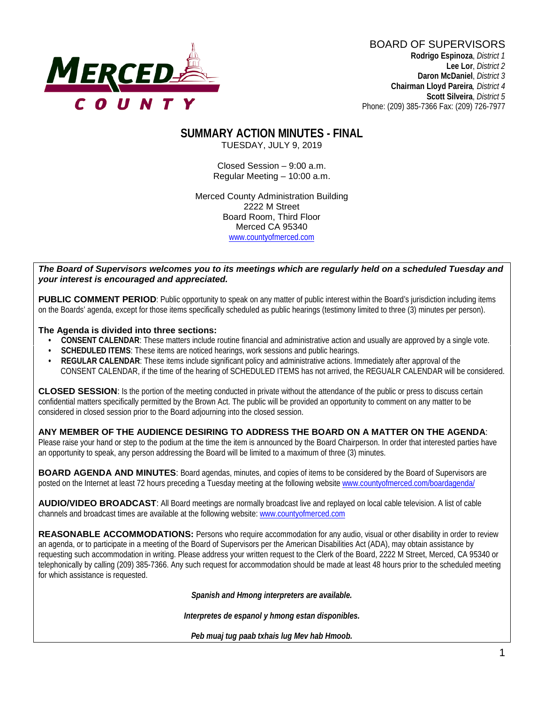

BOARD OF SUPERVISORS **Rodrigo Espinoza**, *District 1*  **Lee Lor**, *District 2*  **Daron McDaniel**, *District 3* **Chairman Lloyd Pareira***, District 4*  **Scott Silveira**, *District 5* Phone: (209) 385-7366 Fax: (209) 726-7977

# **SUMMARY ACTION MINUTES - FINAL**

TUESDAY, JULY 9, 2019

Closed Session – 9:00 a.m. Regular Meeting – 10:00 a.m.

Merced County Administration Building 2222 M Street Board Room, Third Floor Merced CA 95340 www.countyofmerced.com

#### *The Board of Supervisors welcomes you to its meetings which are regularly held on a scheduled Tuesday and your interest is encouraged and appreciated.*

**PUBLIC COMMENT PERIOD:** Public opportunity to speak on any matter of public interest within the Board's jurisdiction including items on the Boards' agenda, except for those items specifically scheduled as public hearings (testimony limited to three (3) minutes per person).

#### **The Agenda is divided into three sections:**

- **CONSENT CALENDAR**: These matters include routine financial and administrative action and usually are approved by a single vote.
- **SCHEDULED ITEMS:** These items are noticed hearings, work sessions and public hearings.
- **REGULAR CALENDAR**: These items include significant policy and administrative actions. Immediately after approval of the CONSENT CALENDAR, if the time of the hearing of SCHEDULED ITEMS has not arrived, the REGUALR CALENDAR will be considered.

**CLOSED SESSION**: Is the portion of the meeting conducted in private without the attendance of the public or press to discuss certain confidential matters specifically permitted by the Brown Act. The public will be provided an opportunity to comment on any matter to be considered in closed session prior to the Board adjourning into the closed session.

#### **ANY MEMBER OF THE AUDIENCE DESIRING TO ADDRESS THE BOARD ON A MATTER ON THE AGENDA**:

Please raise your hand or step to the podium at the time the item is announced by the Board Chairperson. In order that interested parties have an opportunity to speak, any person addressing the Board will be limited to a maximum of three (3) minutes.

**BOARD AGENDA AND MINUTES:** Board agendas, minutes, and copies of items to be considered by the Board of Supervisors are posted on the Internet at least 72 hours preceding a Tuesday meeting at the following website [www.countyofmerced.com/boardagenda/](http://www.countyofmerced.com/boardagenda/) 

**AUDIO/VIDEO BROADCAST**: All Board meetings are normally broadcast live and replayed on local cable television. A list of cable channels and broadcast times are available at the following website[: www.countyofmerced.com](http://www.countyofmerced.com/)

**REASONABLE ACCOMMODATIONS:** Persons who require accommodation for any audio, visual or other disability in order to review an agenda, or to participate in a meeting of the Board of Supervisors per the American Disabilities Act (ADA), may obtain assistance by requesting such accommodation in writing. Please address your written request to the Clerk of the Board, 2222 M Street, Merced, CA 95340 or telephonically by calling (209) 385-7366. Any such request for accommodation should be made at least 48 hours prior to the scheduled meeting for which assistance is requested.

*Spanish and Hmong interpreters are available.*

*Interpretes de espanol y hmong estan disponibles.*

*Peb muaj tug paab txhais lug Mev hab Hmoob.*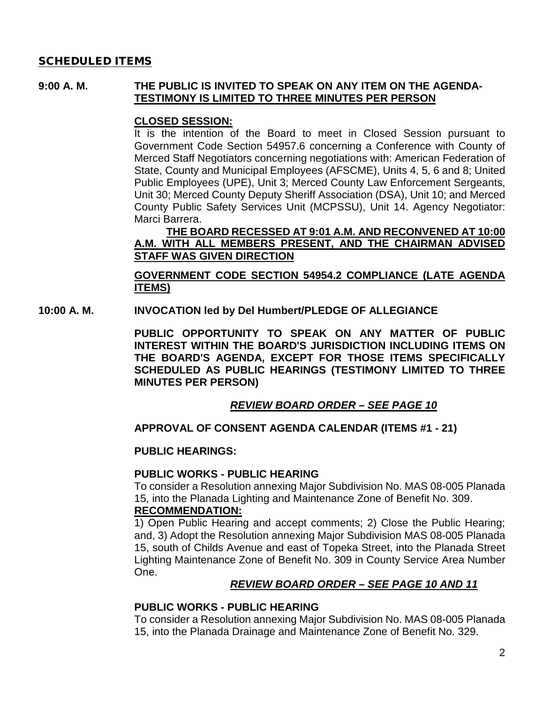### SCHEDULED ITEMS

### **9:00 A. M. THE PUBLIC IS INVITED TO SPEAK ON ANY ITEM ON THE AGENDA-TESTIMONY IS LIMITED TO THREE MINUTES PER PERSON**

### **CLOSED SESSION:**

It is the intention of the Board to meet in Closed Session pursuant to Government Code Section 54957.6 concerning a Conference with County of Merced Staff Negotiators concerning negotiations with: American Federation of State, County and Municipal Employees (AFSCME), Units 4, 5, 6 and 8; United Public Employees (UPE), Unit 3; Merced County Law Enforcement Sergeants, Unit 30; Merced County Deputy Sheriff Association (DSA), Unit 10; and Merced County Public Safety Services Unit (MCPSSU), Unit 14. Agency Negotiator: Marci Barrera.

### **THE BOARD RECESSED AT 9:01 A.M. AND RECONVENED AT 10:00 A.M. WITH ALL MEMBERS PRESENT, AND THE CHAIRMAN ADVISED STAFF WAS GIVEN DIRECTION**

### **GOVERNMENT CODE SECTION 54954.2 COMPLIANCE (LATE AGENDA ITEMS)**

**10:00 A. M. INVOCATION led by Del Humbert/PLEDGE OF ALLEGIANCE**

**PUBLIC OPPORTUNITY TO SPEAK ON ANY MATTER OF PUBLIC INTEREST WITHIN THE BOARD'S JURISDICTION INCLUDING ITEMS ON THE BOARD'S AGENDA, EXCEPT FOR THOSE ITEMS SPECIFICALLY SCHEDULED AS PUBLIC HEARINGS (TESTIMONY LIMITED TO THREE MINUTES PER PERSON)**

### *REVIEW BOARD ORDER – SEE PAGE 10*

### **APPROVAL OF CONSENT AGENDA CALENDAR (ITEMS #1 - 21)**

#### **PUBLIC HEARINGS:**

#### **PUBLIC WORKS - PUBLIC HEARING**

To consider a Resolution annexing Major Subdivision No. MAS 08-005 Planada 15, into the Planada Lighting and Maintenance Zone of Benefit No. 309.

#### **RECOMMENDATION:**

1) Open Public Hearing and accept comments; 2) Close the Public Hearing; and, 3) Adopt the Resolution annexing Major Subdivision MAS 08-005 Planada 15, south of Childs Avenue and east of Topeka Street, into the Planada Street Lighting Maintenance Zone of Benefit No. 309 in County Service Area Number One.

#### *REVIEW BOARD ORDER – SEE PAGE 10 AND 11*

### **PUBLIC WORKS - PUBLIC HEARING**

To consider a Resolution annexing Major Subdivision No. MAS 08-005 Planada 15, into the Planada Drainage and Maintenance Zone of Benefit No. 329.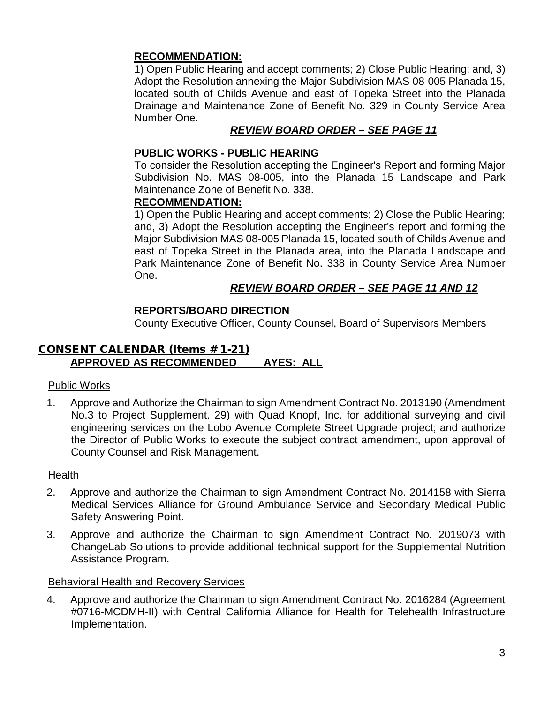### **RECOMMENDATION:**

1) Open Public Hearing and accept comments; 2) Close Public Hearing; and, 3) Adopt the Resolution annexing the Major Subdivision MAS 08-005 Planada 15, located south of Childs Avenue and east of Topeka Street into the Planada Drainage and Maintenance Zone of Benefit No. 329 in County Service Area Number One.

## *REVIEW BOARD ORDER – SEE PAGE 11*

### **PUBLIC WORKS - PUBLIC HEARING**

To consider the Resolution accepting the Engineer's Report and forming Major Subdivision No. MAS 08-005, into the Planada 15 Landscape and Park Maintenance Zone of Benefit No. 338.

### **RECOMMENDATION:**

1) Open the Public Hearing and accept comments; 2) Close the Public Hearing; and, 3) Adopt the Resolution accepting the Engineer's report and forming the Major Subdivision MAS 08-005 Planada 15, located south of Childs Avenue and east of Topeka Street in the Planada area, into the Planada Landscape and Park Maintenance Zone of Benefit No. 338 in County Service Area Number One.

### *REVIEW BOARD ORDER – SEE PAGE 11 AND 12*

## **REPORTS/BOARD DIRECTION**

County Executive Officer, County Counsel, Board of Supervisors Members

### CONSENT CALENDAR (Items # 1-21) **APPROVED AS RECOMMENDED AYES: ALL**

### Public Works

1. Approve and Authorize the Chairman to sign Amendment Contract No. 2013190 (Amendment No.3 to Project Supplement. 29) with Quad Knopf, Inc. for additional surveying and civil engineering services on the Lobo Avenue Complete Street Upgrade project; and authorize the Director of Public Works to execute the subject contract amendment, upon approval of County Counsel and Risk Management.

### **Health**

- 2. Approve and authorize the Chairman to sign Amendment Contract No. 2014158 with Sierra Medical Services Alliance for Ground Ambulance Service and Secondary Medical Public Safety Answering Point.
- 3. Approve and authorize the Chairman to sign Amendment Contract No. 2019073 with ChangeLab Solutions to provide additional technical support for the Supplemental Nutrition Assistance Program.

### Behavioral Health and Recovery Services

4. Approve and authorize the Chairman to sign Amendment Contract No. 2016284 (Agreement #0716-MCDMH-II) with Central California Alliance for Health for Telehealth Infrastructure Implementation.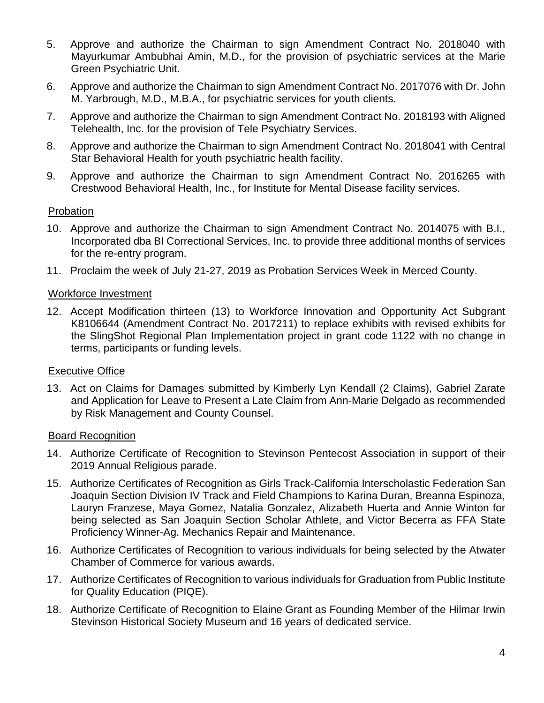- 5. Approve and authorize the Chairman to sign Amendment Contract No. 2018040 with Mayurkumar Ambubhai Amin, M.D., for the provision of psychiatric services at the Marie Green Psychiatric Unit.
- 6. Approve and authorize the Chairman to sign Amendment Contract No. 2017076 with Dr. John M. Yarbrough, M.D., M.B.A., for psychiatric services for youth clients.
- 7. Approve and authorize the Chairman to sign Amendment Contract No. 2018193 with Aligned Telehealth, Inc. for the provision of Tele Psychiatry Services.
- 8. Approve and authorize the Chairman to sign Amendment Contract No. 2018041 with Central Star Behavioral Health for youth psychiatric health facility.
- 9. Approve and authorize the Chairman to sign Amendment Contract No. 2016265 with Crestwood Behavioral Health, Inc., for Institute for Mental Disease facility services.

### Probation

- 10. Approve and authorize the Chairman to sign Amendment Contract No. 2014075 with B.I., Incorporated dba BI Correctional Services, Inc. to provide three additional months of services for the re-entry program.
- 11. Proclaim the week of July 21-27, 2019 as Probation Services Week in Merced County.

### Workforce Investment

12. Accept Modification thirteen (13) to Workforce Innovation and Opportunity Act Subgrant K8106644 (Amendment Contract No. 2017211) to replace exhibits with revised exhibits for the SlingShot Regional Plan Implementation project in grant code 1122 with no change in terms, participants or funding levels.

### Executive Office

13. Act on Claims for Damages submitted by Kimberly Lyn Kendall (2 Claims), Gabriel Zarate and Application for Leave to Present a Late Claim from Ann-Marie Delgado as recommended by Risk Management and County Counsel.

### Board Recognition

- 14. Authorize Certificate of Recognition to Stevinson Pentecost Association in support of their 2019 Annual Religious parade.
- 15. Authorize Certificates of Recognition as Girls Track-California Interscholastic Federation San Joaquin Section Division IV Track and Field Champions to Karina Duran, Breanna Espinoza, Lauryn Franzese, Maya Gomez, Natalia Gonzalez, Alizabeth Huerta and Annie Winton for being selected as San Joaquin Section Scholar Athlete, and Victor Becerra as FFA State Proficiency Winner-Ag. Mechanics Repair and Maintenance.
- 16. Authorize Certificates of Recognition to various individuals for being selected by the Atwater Chamber of Commerce for various awards.
- 17. Authorize Certificates of Recognition to various individuals for Graduation from Public Institute for Quality Education (PIQE).
- 18. Authorize Certificate of Recognition to Elaine Grant as Founding Member of the Hilmar Irwin Stevinson Historical Society Museum and 16 years of dedicated service.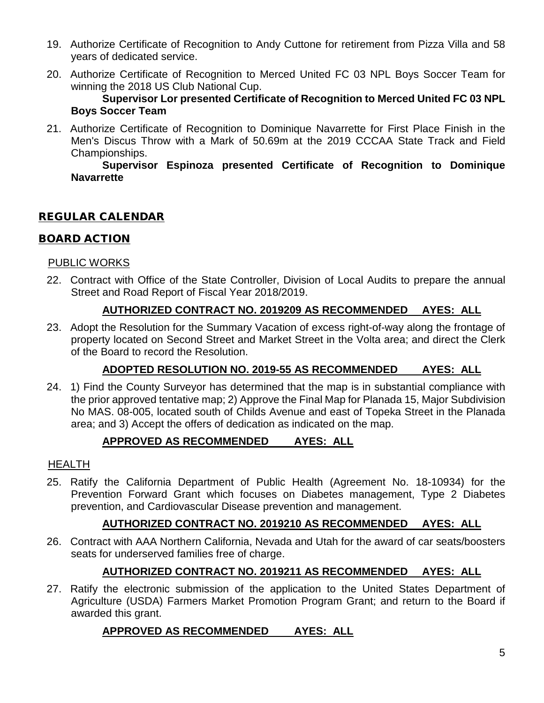- 19. Authorize Certificate of Recognition to Andy Cuttone for retirement from Pizza Villa and 58 years of dedicated service.
- 20. Authorize Certificate of Recognition to Merced United FC 03 NPL Boys Soccer Team for winning the 2018 US Club National Cup.

**Supervisor Lor presented Certificate of Recognition to Merced United FC 03 NPL Boys Soccer Team**

21. Authorize Certificate of Recognition to Dominique Navarrette for First Place Finish in the Men's Discus Throw with a Mark of 50.69m at the 2019 CCCAA State Track and Field Championships.

**Supervisor Espinoza presented Certificate of Recognition to Dominique Navarrette**

## REGULAR CALENDAR

## BOARD ACTION

## PUBLIC WORKS

22. Contract with Office of the State Controller, Division of Local Audits to prepare the annual Street and Road Report of Fiscal Year 2018/2019.

## **AUTHORIZED CONTRACT NO. 2019209 AS RECOMMENDED AYES: ALL**

23. Adopt the Resolution for the Summary Vacation of excess right-of-way along the frontage of property located on Second Street and Market Street in the Volta area; and direct the Clerk of the Board to record the Resolution.

# **ADOPTED RESOLUTION NO. 2019-55 AS RECOMMENDED AYES: ALL**

24. 1) Find the County Surveyor has determined that the map is in substantial compliance with the prior approved tentative map; 2) Approve the Final Map for Planada 15, Major Subdivision No MAS. 08-005, located south of Childs Avenue and east of Topeka Street in the Planada area; and 3) Accept the offers of dedication as indicated on the map.

## **APPROVED AS RECOMMENDED AYES: ALL**

## HEALTH

25. Ratify the California Department of Public Health (Agreement No. 18-10934) for the Prevention Forward Grant which focuses on Diabetes management, Type 2 Diabetes prevention, and Cardiovascular Disease prevention and management.

## **AUTHORIZED CONTRACT NO. 2019210 AS RECOMMENDED AYES: ALL**

26. Contract with AAA Northern California, Nevada and Utah for the award of car seats/boosters seats for underserved families free of charge.

## **AUTHORIZED CONTRACT NO. 2019211 AS RECOMMENDED AYES: ALL**

27. Ratify the electronic submission of the application to the United States Department of Agriculture (USDA) Farmers Market Promotion Program Grant; and return to the Board if awarded this grant.

## **APPROVED AS RECOMMENDED AYES: ALL**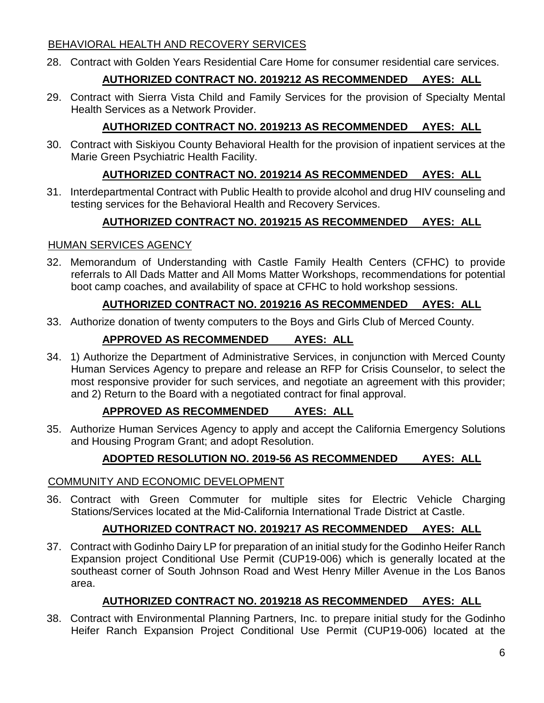## BEHAVIORAL HEALTH AND RECOVERY SERVICES

28. Contract with Golden Years Residential Care Home for consumer residential care services.

# **AUTHORIZED CONTRACT NO. 2019212 AS RECOMMENDED AYES: ALL**

29. Contract with Sierra Vista Child and Family Services for the provision of Specialty Mental Health Services as a Network Provider.

# **AUTHORIZED CONTRACT NO. 2019213 AS RECOMMENDED AYES: ALL**

30. Contract with Siskiyou County Behavioral Health for the provision of inpatient services at the Marie Green Psychiatric Health Facility.

# **AUTHORIZED CONTRACT NO. 2019214 AS RECOMMENDED AYES: ALL**

31. Interdepartmental Contract with Public Health to provide alcohol and drug HIV counseling and testing services for the Behavioral Health and Recovery Services.

# **AUTHORIZED CONTRACT NO. 2019215 AS RECOMMENDED AYES: ALL**

### HUMAN SERVICES AGENCY

32. Memorandum of Understanding with Castle Family Health Centers (CFHC) to provide referrals to All Dads Matter and All Moms Matter Workshops, recommendations for potential boot camp coaches, and availability of space at CFHC to hold workshop sessions.

# **AUTHORIZED CONTRACT NO. 2019216 AS RECOMMENDED AYES: ALL**

33. Authorize donation of twenty computers to the Boys and Girls Club of Merced County.

# **APPROVED AS RECOMMENDED AYES: ALL**

34. 1) Authorize the Department of Administrative Services, in conjunction with Merced County Human Services Agency to prepare and release an RFP for Crisis Counselor, to select the most responsive provider for such services, and negotiate an agreement with this provider; and 2) Return to the Board with a negotiated contract for final approval.

# **APPROVED AS RECOMMENDED AYES: ALL**

35. Authorize Human Services Agency to apply and accept the California Emergency Solutions and Housing Program Grant; and adopt Resolution.

# **ADOPTED RESOLUTION NO. 2019-56 AS RECOMMENDED AYES: ALL**

## COMMUNITY AND ECONOMIC DEVELOPMENT

36. Contract with Green Commuter for multiple sites for Electric Vehicle Charging Stations/Services located at the Mid-California International Trade District at Castle.

# **AUTHORIZED CONTRACT NO. 2019217 AS RECOMMENDED AYES: ALL**

37. Contract with Godinho Dairy LP for preparation of an initial study for the Godinho Heifer Ranch Expansion project Conditional Use Permit (CUP19-006) which is generally located at the southeast corner of South Johnson Road and West Henry Miller Avenue in the Los Banos area.

# **AUTHORIZED CONTRACT NO. 2019218 AS RECOMMENDED AYES: ALL**

38. Contract with Environmental Planning Partners, Inc. to prepare initial study for the Godinho Heifer Ranch Expansion Project Conditional Use Permit (CUP19-006) located at the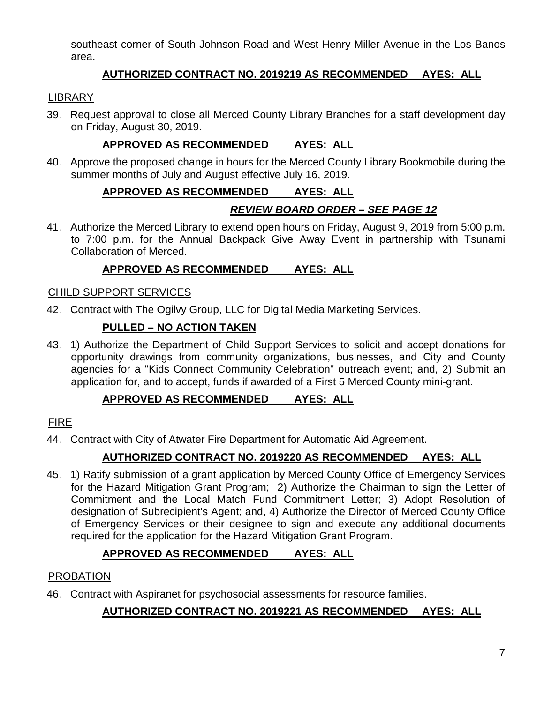southeast corner of South Johnson Road and West Henry Miller Avenue in the Los Banos area.

## **AUTHORIZED CONTRACT NO. 2019219 AS RECOMMENDED AYES: ALL**

## **LIBRARY**

39. Request approval to close all Merced County Library Branches for a staff development day on Friday, August 30, 2019.

## **APPROVED AS RECOMMENDED AYES: ALL**

40. Approve the proposed change in hours for the Merced County Library Bookmobile during the summer months of July and August effective July 16, 2019.

# **APPROVED AS RECOMMENDED AYES: ALL**

# *REVIEW BOARD ORDER – SEE PAGE 12*

41. Authorize the Merced Library to extend open hours on Friday, August 9, 2019 from 5:00 p.m. to 7:00 p.m. for the Annual Backpack Give Away Event in partnership with Tsunami Collaboration of Merced.

## **APPROVED AS RECOMMENDED AYES: ALL**

## CHILD SUPPORT SERVICES

42. Contract with The Ogilvy Group, LLC for Digital Media Marketing Services.

## **PULLED – NO ACTION TAKEN**

43. 1) Authorize the Department of Child Support Services to solicit and accept donations for opportunity drawings from community organizations, businesses, and City and County agencies for a "Kids Connect Community Celebration" outreach event; and, 2) Submit an application for, and to accept, funds if awarded of a First 5 Merced County mini-grant.

# **APPROVED AS RECOMMENDED AYES: ALL**

## FIRE

44. Contract with City of Atwater Fire Department for Automatic Aid Agreement.

## **AUTHORIZED CONTRACT NO. 2019220 AS RECOMMENDED AYES: ALL**

45. 1) Ratify submission of a grant application by Merced County Office of Emergency Services for the Hazard Mitigation Grant Program; 2) Authorize the Chairman to sign the Letter of Commitment and the Local Match Fund Commitment Letter; 3) Adopt Resolution of designation of Subrecipient's Agent; and, 4) Authorize the Director of Merced County Office of Emergency Services or their designee to sign and execute any additional documents required for the application for the Hazard Mitigation Grant Program.

# **APPROVED AS RECOMMENDED AYES: ALL**

## PROBATION

46. Contract with Aspiranet for psychosocial assessments for resource families.

# **AUTHORIZED CONTRACT NO. 2019221 AS RECOMMENDED AYES: ALL**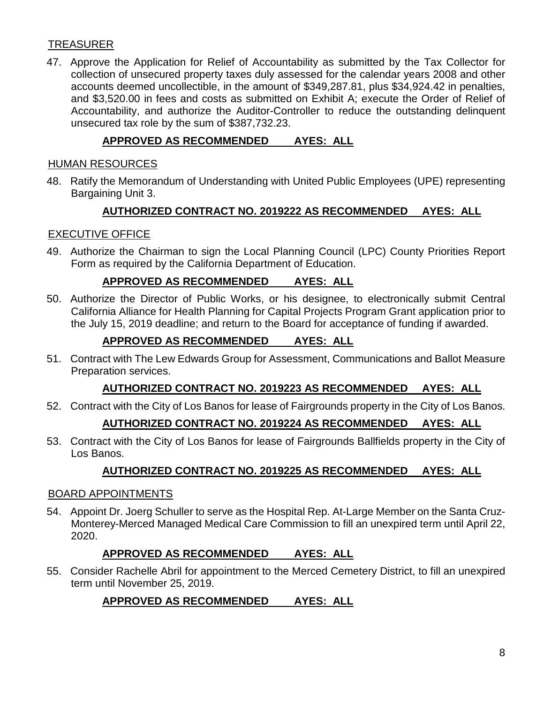## **TREASURER**

47. Approve the Application for Relief of Accountability as submitted by the Tax Collector for collection of unsecured property taxes duly assessed for the calendar years 2008 and other accounts deemed uncollectible, in the amount of \$349,287.81, plus \$34,924.42 in penalties, and \$3,520.00 in fees and costs as submitted on Exhibit A; execute the Order of Relief of Accountability, and authorize the Auditor-Controller to reduce the outstanding delinquent unsecured tax role by the sum of \$387,732.23.

## **APPROVED AS RECOMMENDED AYES: ALL**

#### HUMAN RESOURCES

48. Ratify the Memorandum of Understanding with United Public Employees (UPE) representing Bargaining Unit 3.

### **AUTHORIZED CONTRACT NO. 2019222 AS RECOMMENDED AYES: ALL**

### EXECUTIVE OFFICE

49. Authorize the Chairman to sign the Local Planning Council (LPC) County Priorities Report Form as required by the California Department of Education.

### **APPROVED AS RECOMMENDED AYES: ALL**

50. Authorize the Director of Public Works, or his designee, to electronically submit Central California Alliance for Health Planning for Capital Projects Program Grant application prior to the July 15, 2019 deadline; and return to the Board for acceptance of funding if awarded.

### **APPROVED AS RECOMMENDED AYES: ALL**

51. Contract with The Lew Edwards Group for Assessment, Communications and Ballot Measure Preparation services.

### **AUTHORIZED CONTRACT NO. 2019223 AS RECOMMENDED AYES: ALL**

52. Contract with the City of Los Banos for lease of Fairgrounds property in the City of Los Banos.

### **AUTHORIZED CONTRACT NO. 2019224 AS RECOMMENDED AYES: ALL**

53. Contract with the City of Los Banos for lease of Fairgrounds Ballfields property in the City of Los Banos.

## **AUTHORIZED CONTRACT NO. 2019225 AS RECOMMENDED AYES: ALL**

### BOARD APPOINTMENTS

54. Appoint Dr. Joerg Schuller to serve as the Hospital Rep. At-Large Member on the Santa Cruz-Monterey-Merced Managed Medical Care Commission to fill an unexpired term until April 22, 2020.

### **APPROVED AS RECOMMENDED AYES: ALL**

55. Consider Rachelle Abril for appointment to the Merced Cemetery District, to fill an unexpired term until November 25, 2019.

### **APPROVED AS RECOMMENDED AYES: ALL**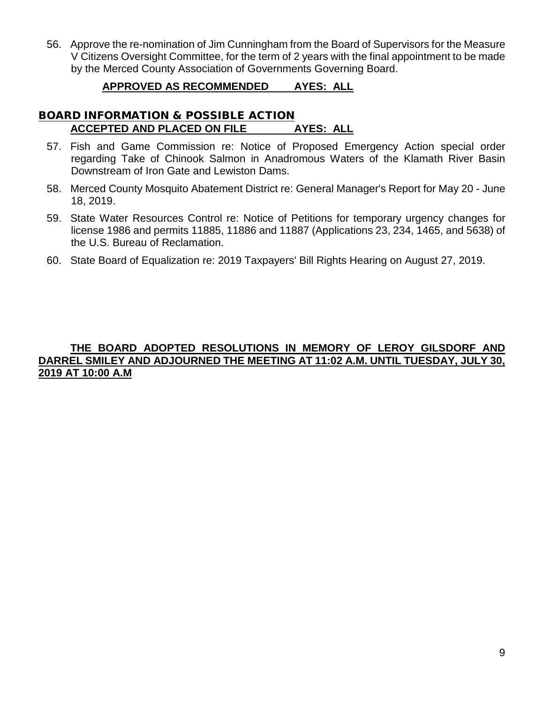56. Approve the re-nomination of Jim Cunningham from the Board of Supervisors for the Measure V Citizens Oversight Committee, for the term of 2 years with the final appointment to be made by the Merced County Association of Governments Governing Board.

### **APPROVED AS RECOMMENDED AYES: ALL**

### BOARD INFORMATION & POSSIBLE ACTION **ACCEPTED AND PLACED ON FILE AYES: ALL**

- 57. Fish and Game Commission re: Notice of Proposed Emergency Action special order regarding Take of Chinook Salmon in Anadromous Waters of the Klamath River Basin Downstream of Iron Gate and Lewiston Dams.
- 58. Merced County Mosquito Abatement District re: General Manager's Report for May 20 June 18, 2019.
- 59. State Water Resources Control re: Notice of Petitions for temporary urgency changes for license 1986 and permits 11885, 11886 and 11887 (Applications 23, 234, 1465, and 5638) of the U.S. Bureau of Reclamation.
- 60. State Board of Equalization re: 2019 Taxpayers' Bill Rights Hearing on August 27, 2019.

### **THE BOARD ADOPTED RESOLUTIONS IN MEMORY OF LEROY GILSDORF AND DARREL SMILEY AND ADJOURNED THE MEETING AT 11:02 A.M. UNTIL TUESDAY, JULY 30, 2019 AT 10:00 A.M**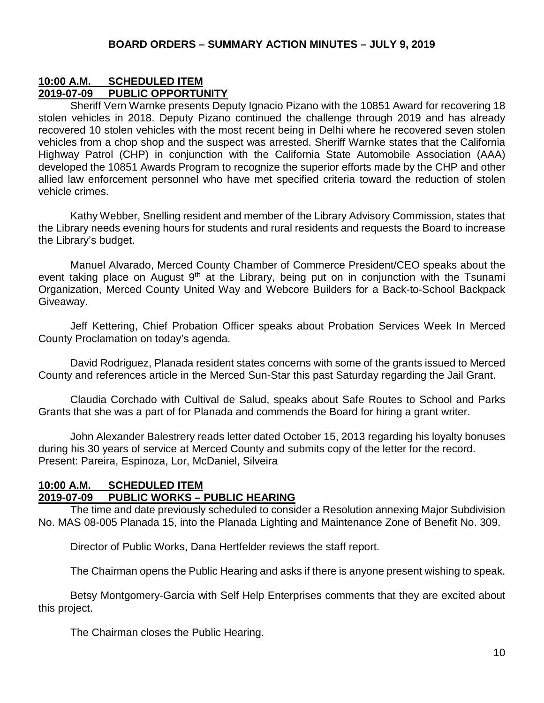## **10:00 A.M. SCHEDULED ITEM 2019-07-09 PUBLIC OPPORTUNITY**

Sheriff Vern Warnke presents Deputy Ignacio Pizano with the 10851 Award for recovering 18 stolen vehicles in 2018. Deputy Pizano continued the challenge through 2019 and has already recovered 10 stolen vehicles with the most recent being in Delhi where he recovered seven stolen vehicles from a chop shop and the suspect was arrested. Sheriff Warnke states that the California Highway Patrol (CHP) in conjunction with the California State Automobile Association (AAA) developed the 10851 Awards Program to recognize the superior efforts made by the CHP and other allied law enforcement personnel who have met specified criteria toward the reduction of stolen vehicle crimes.

Kathy Webber, Snelling resident and member of the Library Advisory Commission, states that the Library needs evening hours for students and rural residents and requests the Board to increase the Library's budget.

Manuel Alvarado, Merced County Chamber of Commerce President/CEO speaks about the event taking place on August 9<sup>th</sup> at the Library, being put on in conjunction with the Tsunami Organization, Merced County United Way and Webcore Builders for a Back-to-School Backpack Giveaway.

Jeff Kettering, Chief Probation Officer speaks about Probation Services Week In Merced County Proclamation on today's agenda.

David Rodriguez, Planada resident states concerns with some of the grants issued to Merced County and references article in the Merced Sun-Star this past Saturday regarding the Jail Grant.

Claudia Corchado with Cultival de Salud, speaks about Safe Routes to School and Parks Grants that she was a part of for Planada and commends the Board for hiring a grant writer.

John Alexander Balestrery reads letter dated October 15, 2013 regarding his loyalty bonuses during his 30 years of service at Merced County and submits copy of the letter for the record. Present: Pareira, Espinoza, Lor, McDaniel, Silveira

### **10:00 A.M. SCHEDULED ITEM 2019-07-09 PUBLIC WORKS – PUBLIC HEARING**

The time and date previously scheduled to consider a Resolution annexing Major Subdivision No. MAS 08-005 Planada 15, into the Planada Lighting and Maintenance Zone of Benefit No. 309.

Director of Public Works, Dana Hertfelder reviews the staff report.

The Chairman opens the Public Hearing and asks if there is anyone present wishing to speak.

Betsy Montgomery-Garcia with Self Help Enterprises comments that they are excited about this project.

The Chairman closes the Public Hearing.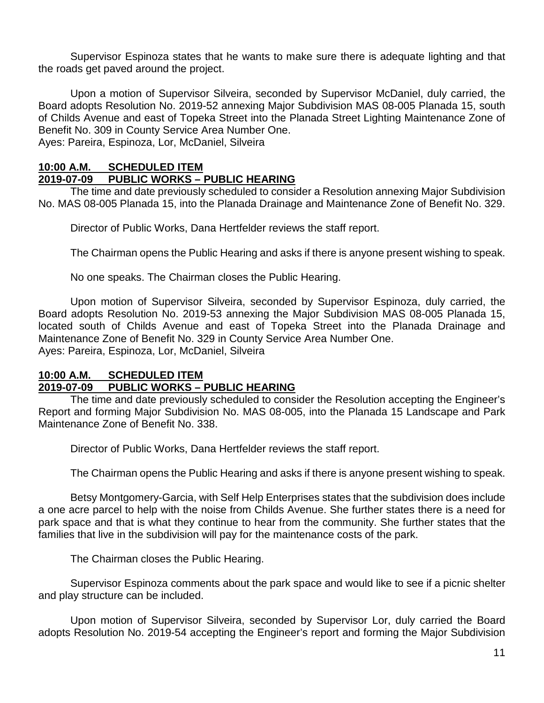Supervisor Espinoza states that he wants to make sure there is adequate lighting and that the roads get paved around the project.

Upon a motion of Supervisor Silveira, seconded by Supervisor McDaniel, duly carried, the Board adopts Resolution No. 2019-52 annexing Major Subdivision MAS 08-005 Planada 15, south of Childs Avenue and east of Topeka Street into the Planada Street Lighting Maintenance Zone of Benefit No. 309 in County Service Area Number One. Ayes: Pareira, Espinoza, Lor, McDaniel, Silveira

### **10:00 A.M. SCHEDULED ITEM**

### **2019-07-09 PUBLIC WORKS – PUBLIC HEARING**

The time and date previously scheduled to consider a Resolution annexing Major Subdivision No. MAS 08-005 Planada 15, into the Planada Drainage and Maintenance Zone of Benefit No. 329.

Director of Public Works, Dana Hertfelder reviews the staff report.

The Chairman opens the Public Hearing and asks if there is anyone present wishing to speak.

No one speaks. The Chairman closes the Public Hearing.

Upon motion of Supervisor Silveira, seconded by Supervisor Espinoza, duly carried, the Board adopts Resolution No. 2019-53 annexing the Major Subdivision MAS 08-005 Planada 15, located south of Childs Avenue and east of Topeka Street into the Planada Drainage and Maintenance Zone of Benefit No. 329 in County Service Area Number One. Ayes: Pareira, Espinoza, Lor, McDaniel, Silveira

## **10:00 A.M. SCHEDULED ITEM 2019-07-09 PUBLIC WORKS – PUBLIC HEARING**

The time and date previously scheduled to consider the Resolution accepting the Engineer's Report and forming Major Subdivision No. MAS 08-005, into the Planada 15 Landscape and Park Maintenance Zone of Benefit No. 338.

Director of Public Works, Dana Hertfelder reviews the staff report.

The Chairman opens the Public Hearing and asks if there is anyone present wishing to speak.

Betsy Montgomery-Garcia, with Self Help Enterprises states that the subdivision does include a one acre parcel to help with the noise from Childs Avenue. She further states there is a need for park space and that is what they continue to hear from the community. She further states that the families that live in the subdivision will pay for the maintenance costs of the park.

The Chairman closes the Public Hearing.

Supervisor Espinoza comments about the park space and would like to see if a picnic shelter and play structure can be included.

Upon motion of Supervisor Silveira, seconded by Supervisor Lor, duly carried the Board adopts Resolution No. 2019-54 accepting the Engineer's report and forming the Major Subdivision